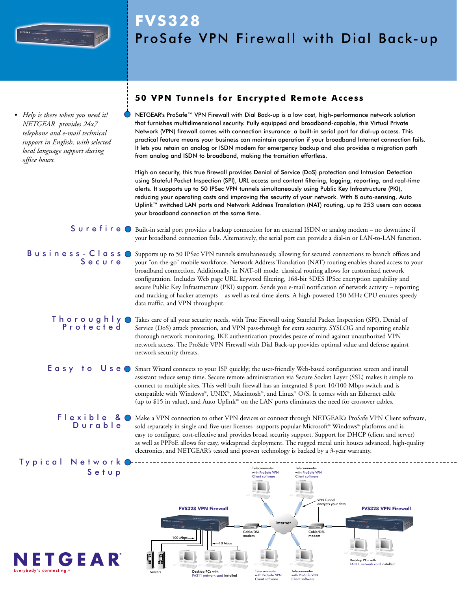

*• Help is there when you need it! NETGEAR provides 24x7 telephone and e-mail technical support in English, with selected local language support during office hours.*

# **FVS328** ProSafe VPN Firewall with Dial Back-up

# **50 VPN Tunnels for Encrypted Remote Access**

NETGEAR's ProSafe™ VPN Firewall with Dial Back-up is a low cost, high-performance network solution that furnishes multidimensional security. Fully equipped and broadband-capable, this Virtual Private Network (VPN) firewall comes with connection insurance: a built-in serial port for dial-up access. This practical feature means your business can maintain operation if your broadband Internet connection fails. It lets you retain an analog or ISDN modem for emergency backup and also provides a migration path from analog and ISDN to broadband, making the transition effortless.

High on security, this true firewall provides Denial of Service (DoS) protection and Intrusion Detection using Stateful Packet Inspection (SPI), URL access and content filtering, logging, reporting, and real-time alerts. It supports up to 50 IPSec VPN tunnels simultaneously using Public Key Infrastructure (PKI), reducing your operating costs and improving the security of your network. With 8 auto-sensing, Auto Uplink™ switched LAN ports and Network Address Translation (NAT) routing, up to 253 users can access your broadband connection at the same time.

 $S$   $\cup$   $r$   $e$   $f$   $i$   $r$   $e$   $\circ$   $B$  built-in serial port provides a backup connection for an external ISDN or analog modem – no downtime if your broadband connection fails. Alternatively, the serial port can provide a dial-in or LAN-to-LAN function.

**B**  $\cup$  **s** i **n**  $\in$  **s s**  $\subseteq$  **c**  $\cup$  **d s s**  $\bigcirc$  Supports up to 50 IPSec VPN tunnels simultaneously, allowing for secured connections to branch offices and Secure your "on-the-go" mobile workforce. Network Address Translation (NAT) routing enables shared access to your broadband connection. Additionally, in NAT-off mode, classical routing allows for customized network configuration. Includes Web page URL keyword filtering, 168-bit 3DES IPSec encryption capability and secure Public Key Infrastructure (PKI) support. Sends you e-mail notification of network activity – reporting and tracking of hacker attempts – as well as real-time alerts. A high-powered 150 MHz CPU ensures speedy data traffic, and VPN throughput.

 $\bar{\Gamma}$  h  $\circ$  r  $\circ$   $\cup$   $g$  h  $\bar{\Gamma}$   $\gamma$   $\odot$  Takes care of all your security needs, with True Firewall using Stateful Packet Inspection (SPI), Denial of Protected Service (DoS) attack protection, and VPN pass-through for extra security. SYSLOG and reporting enable thorough network monitoring. IKE authentication provides peace of mind against unauthorized VPN network access. The ProSafe VPN Firewall with Dial Back-up provides optimal value and defense against network security threats.

E  $a s y$  to U se O Smart Wizard connects to your ISP quickly; the user-friendly Web-based configuration screen and install assistant reduce setup time. Secure remote administration via Secure Socket Layer (SSL) makes it simple to connect to multiple sites. This well-built firewall has an integrated 8-port 10/100 Mbps switch and is compatible with Windows®, UNIX®, Macintosh®, and Linux® O/S. It comes with an Ethernet cable (up to \$15 in value), and Auto Uplink™ on the LAN ports eliminates the need for crossover cables.

**FI e x i bI e R O** Make a VPN connection to other VPN devices or connect through NETGEAR's ProSafe VPN Client software, Durable sold separately in single and five-user licenses- supports popular Microsoft® Windows® platforms and is easy to configure, cost-effective and provides broad security support. Support for DHCP (client and server) as well as PPPoE allows for easy, widespread deployment. The rugged metal unit houses advanced, high-quality electronics, and NETGEAR's tested and proven technology is backed by a 3-year warranty.